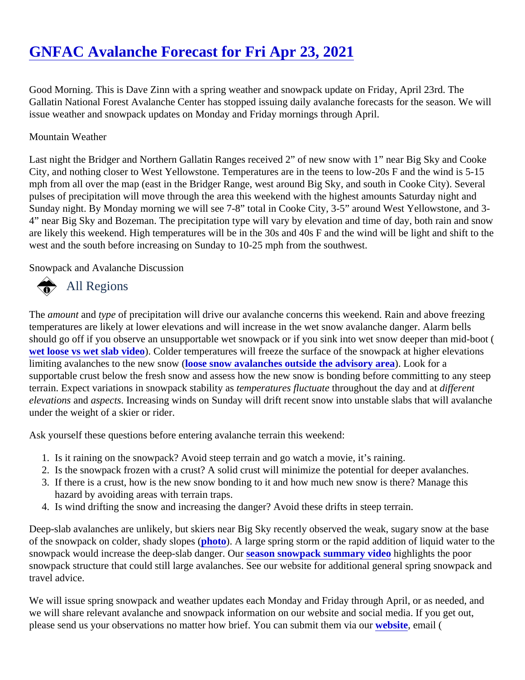# [GNFAC Avalanche Forecast for Fri Apr 23, 2021](https://www.mtavalanche.com/forecast/21/04/23)

Good Morning. This is Dave Zinn with a spring weather and snowpack update on Friday, April 23rd. The Gallatin National Forest Avalanche Center has stopped issuing daily avalanche forecasts for the season. We issue weather and snowpack updates on Monday and Friday mornings through April.

### Mountain Weather

Last night the Bridger and Northern Gallatin Ranges received 2" of new snow with 1" near Big Sky and Cooke City, and nothing closer to West Yellowstone. Temperatures are in the teens to low-20s F and the wind is 5-15 mph from all over the map (east in the Bridger Range, west around Big Sky, and south in Cooke City). Several pulses of precipitation will move through the area this weekend with the highest amounts Saturday night and Sunday night. By Monday morning we will see 7-8" total in Cooke City, 3-5" around West Yellowstone, and 3- 4" near Big Sky and Bozeman. The precipitation type will vary by elevation and time of day, both rain and sno are likely this weekend. High temperatures will be in the 30s and 40s F and the wind will be light and shift to t west and the south before increasing on Sunday to 10-25 mph from the southwest.

Snowpack and Avalanche Discussion

# All Regions

The amount and type of precipitation will drive our avalanche concerns this weekend. Rain and above freezing temperatures are likely at lower elevations and will increase in the wet snow avalanche danger. Alarm bells should go off if you observe an unsupportable wet snowpack or if you sink into wet snow deeper than mid-boot [wet loose vs wet slab vide](https://www.youtube.com/watch?v=YIajdl9hhyo)oColder temperatures will freeze the surface of the snowpack at higher elevations limiting avalanches to the new snow ( show avalanches outside the advisory are book for a supportable crust below the fresh snow and assess how the new snow is bonding before committing to any steep terrain. Expect variations in snowpack stability experatures fluctuatte roughout the day and different elevations and aspects Increasing winds on Sunday will drift recent snow into unstable slabs that will avalanche under the weight of a skier or rider.

Ask yourself these questions before entering avalanche terrain this weekend:

- 1. Is it raining on the snowpack? Avoid steep terrain and go watch a movie, it's raining.
- 2. Is the snowpack frozen with a crust? A solid crust will minimize the potential for deeper avalanches.
- 3. If there is a crust, how is the new snow bonding to it and how much new snow is there? Manage this hazard by avoiding areas with terrain traps.
- 4. Is wind drifting the snow and increasing the danger? Avoid these drifts in steep terrain.

Deep-slab avalanches are unlikely, but skiers near Big Sky recently observed the weak, sugary snow at the base of the snowpack on colder, shady slopes (o). A large spring storm or the rapid addition of liquid water to the snowpack would increase the deep-slab dangers@aron snowpack summary videbighlights the poor snowpack structure that could still large avalanches. See our website for additional general spring snowpack travel advice.

We will issue spring snowpack and weather updates each Monday and Friday through April, or as needed, ar we will share relevant avalanche and snowpack information on our website and social media. If you get out, please send us your observations no matter how brief. You can submit themwebsite email (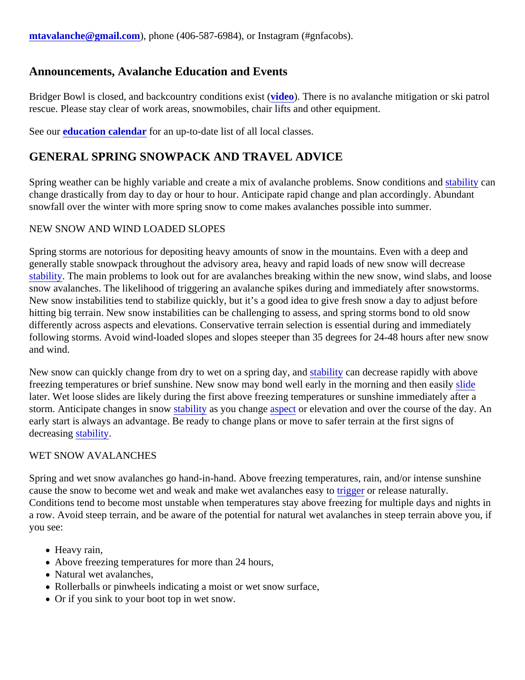### Announcements, Avalanche Education and Events

Bridger Bowl is closed, and backcountry conditions existeo). There is no avalanche mitigation or ski patrol rescue. Please stay clear of work areas, snowmobiles, chair lifts and other equipment.

See oureducation calendarfor an up-to-date list of all local classes.

## GENERAL SPRING SNOWPACK AND TRAVEL ADVICE

Spring weather can be highly variable and create a mix of avalanche problems. Snow conditions land and stated change drastically from day to day or hour to hour. Anticipate rapid change and plan accordingly. Abundant snowfall over the winter with more spring snow to come makes avalanches possible into summer.

#### NEW SNOW AND WIND LOADED SLOPES

Spring storms are notorious for depositing heavy amounts of snow in the mountains. Even with a deep and generally stable snowpack throughout the advisory area, heavy and rapid loads of new snow will decrease [stability.](https://www.mtavalanche.com/taxonomy/term/309) The main problems to look out for are avalanches breaking within the new snow, wind slabs, and loo snow avalanches. The likelihood of triggering an avalanche spikes during and immediately after snowstorms. New snow instabilities tend to stabilize quickly, but it's a good idea to give fresh snow a day to adjust before hitting big terrain. New snow instabilities can be challenging to assess, and spring storms bond to old snow differently across aspects and elevations. Conservative terrain selection is essential during and immediately following storms. Avoid wind-loaded slopes and slopes steeper than 35 degrees for 24-48 hours after new sn and wind.

New snow can quickly change from dry to wet on a spring day stability can decrease rapidly with above freezing temperatures or brief sunshine. New snow may bond well early in the morning and then deasily later. Wet loose slides are likely during the first above freezing temperatures or sunshine immediately after a storm. Anticipate changes in snow ability as you change spector elevation and over the course of the day. An early start is always an advantage. Be ready to change plans or move to safer terrain at the first signs of decreasing tability.

#### WET SNOW AVALANCHES

Spring and wet snow avalanches go hand-in-hand. Above freezing temperatures, rain, and/or intense sunshir cause the snow to become wet and weak and make wet avalanche[s easy](https://www.mtavalanche.com/taxonomy/term/319) to release naturally. Conditions tend to become most unstable when temperatures stay above freezing for multiple days and night a row. Avoid steep terrain, and be aware of the potential for natural wet avalanches in steep terrain above you you see:

- Heavy rain,
- Above freezing temperatures for more than 24 hours,
- Natural wet avalanches,
- Rollerballs or pinwheels indicating a moist or wet snow surface,
- Or if you sink to your boot top in wet snow.